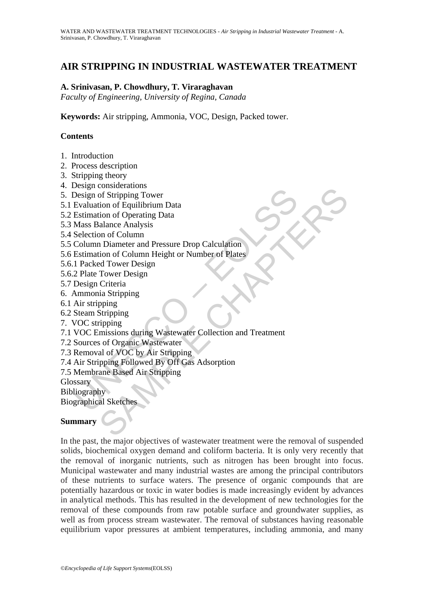# **AIR STRIPPING IN INDUSTRIAL WASTEWATER TREATMENT**

# **A. Srinivasan, P. Chowdhury, T. Viraraghavan**

*Faculty of Engineering, University of Regina, Canada* 

**Keywords:** Air stripping, Ammonia, VOC, Design, Packed tower.

# **Contents**

- 1. Introduction
- 2. Process description
- 3. Stripping theory
- 4. Design considerations
- 5. Design of Stripping Tower
- 5.1 Evaluation of Equilibrium Data
- 5.2 Estimation of Operating Data
- 5.3 Mass Balance Analysis
- 5.4 Selection of Column
- 5.5 Column Diameter and Pressure Drop Calculation
- 5.6 Estimation of Column Height or Number of Plates
- 5.6.1 Packed Tower Design
- 5.6.2 Plate Tower Design
- 5.7 Design Criteria
- 6. Ammonia Stripping
- 6.1 Air stripping
- 6.2 Steam Stripping
- 7. VOC stripping
- Sesign of Stripping<br>Design of Stripping Tower<br>Evaluation of Equilibrium Data<br>Estimation of Operating Data<br>Mass Balance Analysis<br>Column Diameter and Pressure Drop Calculation<br>Column Diameter and Pressure Drop Calculation<br>Es Considerations<br>
Consideration<br>
Consideration of Deprimes Tower<br>
tion of Carlibrium Data<br>
and ance Analysis<br>
on of Column Height or Number of Plates<br>
ed Tower Design<br>
Criteria<br>
Ed Tower Design<br>
Criteria<br>
Consideration of Co 7.1 VOC Emissions during Wastewater Collection and Treatment
- 7.2 Sources of Organic Wastewater
- 7.3 Removal of VOC by Air Stripping
- 7.4 Air Stripping Followed By Off Gas Adsorption
- 7.5 Membrane Based Air Stripping

**Glossary** 

**Bibliography** 

Biographical Sketches

### **Summary**

In the past, the major objectives of wastewater treatment were the removal of suspended solids, biochemical oxygen demand and coliform bacteria. It is only very recently that the removal of inorganic nutrients, such as nitrogen has been brought into focus. Municipal wastewater and many industrial wastes are among the principal contributors of these nutrients to surface waters. The presence of organic compounds that are potentially hazardous or toxic in water bodies is made increasingly evident by advances in analytical methods. This has resulted in the development of new technologies for the removal of these compounds from raw potable surface and groundwater supplies, as well as from process stream wastewater. The removal of substances having reasonable equilibrium vapor pressures at ambient temperatures, including ammonia, and many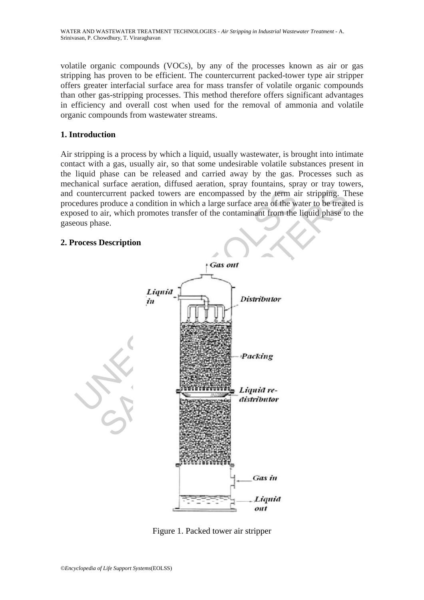volatile organic compounds (VOCs), by any of the processes known as air or gas stripping has proven to be efficient. The countercurrent packed-tower type air stripper offers greater interfacial surface area for mass transfer of volatile organic compounds than other gas-stripping processes. This method therefore offers significant advantages in efficiency and overall cost when used for the removal of ammonia and volatile organic compounds from wastewater streams.

# **1. Introduction**

Air stripping is a process by which a liquid, usually wastewater, is brought into intimate contact with a gas, usually air, so that some undesirable volatile substances present in the liquid phase can be released and carried away by the gas. Processes such as mechanical surface aeration, diffused aeration, spray fountains, spray or tray towers, and countercurrent packed towers are encompassed by the term air stripping. These procedures produce a condition in which a large surface area of the water to be treated is exposed to air, which promotes transfer of the contaminant from the liquid phase to the gaseous phase.

# **2. Process Description**



Figure 1. Packed tower air stripper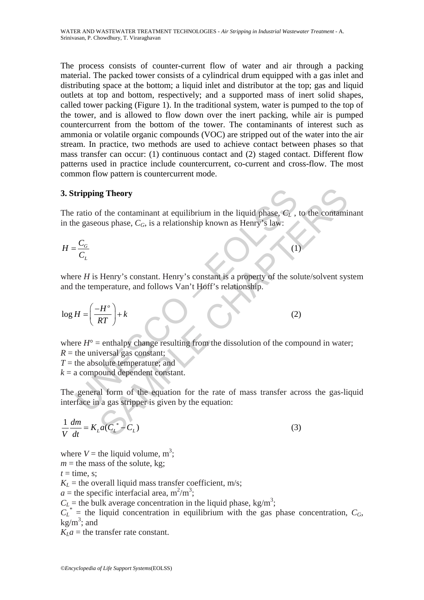The process consists of counter-current flow of water and air through a packing material. The packed tower consists of a cylindrical drum equipped with a gas inlet and distributing space at the bottom; a liquid inlet and distributor at the top; gas and liquid outlets at top and bottom, respectively; and a supported mass of inert solid shapes, called tower packing (Figure 1). In the traditional system, water is pumped to the top of the tower, and is allowed to flow down over the inert packing, while air is pumped countercurrent from the bottom of the tower. The contaminants of interest such as ammonia or volatile organic compounds (VOC) are stripped out of the water into the air stream. In practice, two methods are used to achieve contact between phases so that mass transfer can occur: (1) continuous contact and (2) staged contact. Different flow patterns used in practice include countercurrent, co-current and cross-flow. The most common flow pattern is countercurrent mode.

# **3. Stripping Theory**

The ratio of the contaminant at equilibrium in the liquid phase,  $C_L$ , to the contaminant in the gaseous phase,  $C_G$ , is a relationship known as Henry's law:

*G L*  $H = \frac{C}{2}$  $=\frac{C_G}{C_L}$  (1)

where *H* is Henry's constant. Henry's constant is a property of the solute/solvent system and the temperature, and follows Van't Hoff's relationship.

3. Stripping Theory  
\nThe ratio of the contaminant at equilibrium in the liquid phase, 
$$
C_L
$$
, to  
\nin the gaseous phase,  $C_G$ , is a relationship known as Henry's law:  
\n
$$
H = \frac{C_G}{C_L}
$$
\nwhere H is Henry's constant. Henry's constant is a property of the solu  
\nand the temperature, and follows Van't Hoff's relationship.  
\n
$$
\log H = \left(\frac{-H^o}{RT}\right) + k
$$
\n(2)  
\nwhere  $H^o$  = enthalpy change resulting from the dissolution of the comp  
\nR = the universal gas constant;  
\nT = the absolute temperature; and  
\nk = a compound dependent constant.  
\nThe general form of the equation for the rate of mass transfer acro  
\ninterface in a gas stringent is given by the equation:

**In Theory**<br>
Separations in the liquid phase,  $C_L$ , to the contaminated the contaminant at equilibrium in the liquid phase,  $C_L$ , to the contaminations of phase,  $C_G$ , is a relationship known as Henry's law:<br>
(1)<br>
Henry's where  $H^{\circ}$  = enthalpy change resulting from the dissolution of the compound in water;  $R =$  the universal gas constant; *T* = the absolute temperature; and

 $k = a$  compound dependent constant.

The general form of the equation for the rate of mass transfer across the gas-liquid interface in a gas stripper is given by the equation:

$$
\frac{1}{V}\frac{dm}{dt} = K_L a(C_L^*) - C_L)
$$
\n(3)

where  $V =$  the liquid volume, m<sup>3</sup>;

 $m =$  the mass of the solute, kg;

 $t =$  time, s:

 $K_L$  = the overall liquid mass transfer coefficient, m/s;

 $a =$  the specific interfacial area,  $m^2/m^3$ ;

 $C_L$  = the bulk average concentration in the liquid phase, kg/m<sup>3</sup>;

 $C_L^*$  = the liquid concentration in equilibrium with the gas phase concentration,  $C_G$ ,  $kg/m^3$ ; and

 $K<sub>L</sub>a$  = the transfer rate constant.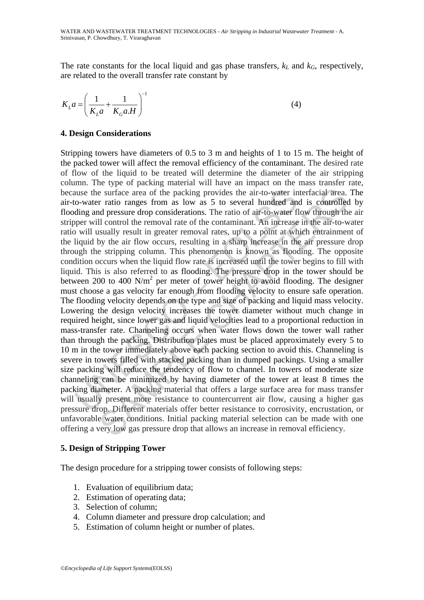The rate constants for the local liquid and gas phase transfers,  $k<sub>L</sub>$  and  $k<sub>G</sub>$ , respectively, are related to the overall transfer rate constant by

$$
K_L a = \left(\frac{1}{K_L a} + \frac{1}{K_G a \cdot H}\right)^{-1} \tag{4}
$$

### **4. Design Considerations**

all solution to the packing provides the air-to-water in<br>o-water ratio ranges from as low as 5 to several hundred and<br>ing and pressure drop considerations. The ratio of air-to-water fl<br>o-water ratio ranges from as low as 5 e surface area of the packing provides the air-to-water interfacial area.<br>
r ratio ranges from as low as 5 to several hundred and is controlled<br>
eresure drop considerations. The ratio of air-to-water flow through the<br>
ell Stripping towers have diameters of 0.5 to 3 m and heights of 1 to 15 m. The height of the packed tower will affect the removal efficiency of the contaminant. The desired rate of flow of the liquid to be treated will determine the diameter of the air stripping column. The type of packing material will have an impact on the mass transfer rate, because the surface area of the packing provides the air-to-water interfacial area. The air-to-water ratio ranges from as low as 5 to several hundred and is controlled by flooding and pressure drop considerations. The ratio of air-to-water flow through the air stripper will control the removal rate of the contaminant. An increase in the air-to-water ratio will usually result in greater removal rates, up to a point at which entrainment of the liquid by the air flow occurs, resulting in a sharp increase in the air pressure drop through the stripping column. This phenomenon is known as flooding. The opposite condition occurs when the liquid flow rate is increased until the tower begins to fill with liquid. This is also referred to as flooding. The pressure drop in the tower should be between 200 to 400 N/m<sup>2</sup> per meter of tower height to avoid flooding. The designer must choose a gas velocity far enough from flooding velocity to ensure safe operation. The flooding velocity depends on the type and size of packing and liquid mass velocity. Lowering the design velocity increases the tower diameter without much change in required height, since lower gas and liquid velocities lead to a proportional reduction in mass-transfer rate. Channeling occurs when water flows down the tower wall rather than through the packing. Distribution plates must be placed approximately every 5 to 10 m in the tower immediately above each packing section to avoid this. Channeling is severe in towers filled with stacked packing than in dumped packings. Using a smaller size packing will reduce the tendency of flow to channel. In towers of moderate size channeling can be minimized by having diameter of the tower at least 8 times the packing diameter. A packing material that offers a large surface area for mass transfer will usually present more resistance to countercurrent air flow, causing a higher gas pressure drop. Different materials offer better resistance to corrosivity, encrustation, or unfavorable water conditions. Initial packing material selection can be made with one offering a very low gas pressure drop that allows an increase in removal efficiency.

### **5. Design of Stripping Tower**

The design procedure for a stripping tower consists of following steps:

- 1. Evaluation of equilibrium data;
- 2. Estimation of operating data;
- 3. Selection of column;
- 4. Column diameter and pressure drop calculation; and
- 5. Estimation of column height or number of plates.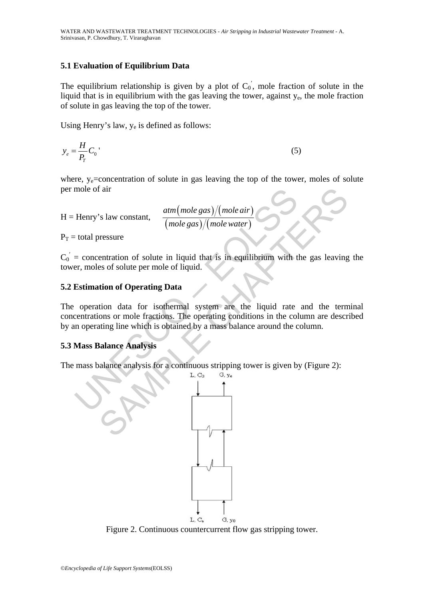# **5.1 Evaluation of Equilibrium Data**

The equilibrium relationship is given by a plot of  $C_0$ , mole fraction of solute in the liquid that is in equilibrium with the gas leaving the tower, against y<sub>e</sub>, the mole fraction of solute in gas leaving the top of the tower.

Using Henry's law, ye is defined as follows:

$$
y_e = \frac{H}{P_T} C_0
$$
\n<sup>(5)</sup>

where, y<sub>e</sub>=concentration of solute in gas leaving the top of the tower, moles of solute per mole of air

H = Henry's law constant,  $\frac{atm(mole gas)/(mole air)}{m}$  $(\textit{mole gas}) / (\textit{mole water})$ *atm mole gas mole air mole gas mole water*

 $P_T =$  total pressure

 $C_0$  = concentration of solute in liquid that is in equilibrium with the gas leaving the tower, moles of solute per mole of liquid.

# **5.2 Estimation of Operating Data**

mole of air<br>
Henry's law constant,  $\frac{atm(mole gas)/(mole air)}{(mole gas)/(mole water)}$ <br>
= total pressure<br>
= concentration of solute in liquid that is in equilibrium with t<br>
er, moles of solute per mole of liquid.<br> **Estimation of Operating Data**<br>
op The operation data for isothermal system are the liquid rate and the terminal concentrations or mole fractions. The operating conditions in the column are described by an operating line which is obtained by a mass balance around the column.

# **5.3 Mass Balance Analysis**

The mass balance analysis for a continuous stripping tower is given by (Figure 2):



Figure 2. Continuous countercurrent flow gas stripping tower.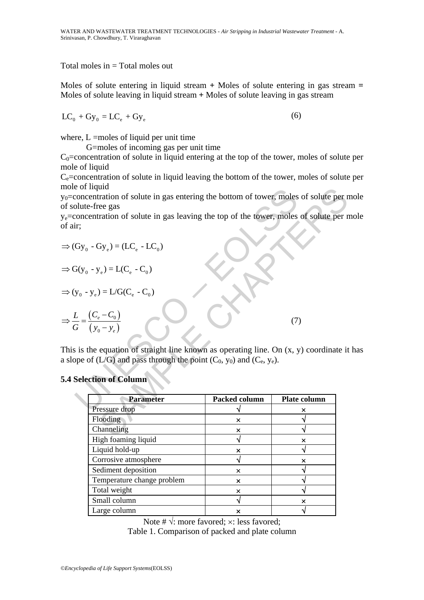Total moles in = Total moles out

Moles of solute entering in liquid stream **+** Moles of solute entering in gas stream **=** Moles of solute leaving in liquid stream **+** Moles of solute leaving in gas stream

$$
LC_0 + Gy_0 = LC_e + Gy_e
$$
 (6)

where,  $L =$ moles of liquid per unit time

G=moles of incoming gas per unit time

 $C_0$ =concentration of solute in liquid entering at the top of the tower, moles of solute per mole of liquid

 $C_e$ =concentration of solute in liquid leaving the bottom of the tower, moles of solute per mole of liquid

on equation of solute in gas entering the bottom of tower, moles<br>
concentration of solute in gas leaving the top of the tower, moles<br>
in:<br>  $Gy_0 - Gy_e = (LC_e - LC_0)$ <br>  $G(y_0 - y_e) = LC(C_e - C_0)$ <br>  $y_0 - y_e = LC(C_e - C_0)$ <br>  $\frac{L}{G} = \frac{(C_e - C_0)}{(y$  $y_0$ =concentration of solute in gas entering the bottom of tower, moles of solute per mole of solute-free gas

ye=concentration of solute in gas leaving the top of the tower, moles of solute per mole of air;

$$
\Rightarrow (Gy_0 - Gy_e) = (LC_e - LC_0)
$$

$$
\Rightarrow G(y_0 - y_e) = L(C_e - C_0)
$$

$$
\Rightarrow (y_0 - y_e) = L/G(C_e - C_0)
$$

$$
\Rightarrow \frac{L}{G} = \frac{(C_e - C_0)}{(y_0 - y_e)}\tag{7}
$$

This is the equation of straight line known as operating line. On  $(x, y)$  coordinate it has a slope of  $(L/G)$  and pass through the point  $(C_0, y_0)$  and  $(C_e, y_e)$ .

### **5.4 Selection of Column**

| nquid<br>centration of solute in gas entering the bottom of tower, moles of solute per r |               |                         |  |
|------------------------------------------------------------------------------------------|---------------|-------------------------|--|
| e-free gas                                                                               |               |                         |  |
| centration of solute in gas leaving the top of the tower, moles of solute per r          |               |                         |  |
|                                                                                          |               |                         |  |
|                                                                                          |               |                         |  |
| $-Gy_e) = (LC_e - LC_0)$                                                                 |               |                         |  |
| $(y_e - y_e) = L(C_e - C_0)$                                                             |               |                         |  |
| $-y_e$ ) = L/G(C <sub>e</sub> - C <sub>0</sub> )                                         |               |                         |  |
| $\frac{(C_e - C_0)}{(y_0 - y_e)}$                                                        |               | (7)                     |  |
|                                                                                          |               |                         |  |
|                                                                                          |               |                         |  |
|                                                                                          |               |                         |  |
| the equation of straight line known as operating line. On (x, y) coordinate it           |               |                         |  |
| of (L/G) and pass through the point $(C_0, y_0)$ and $(C_e, y_e)$ .                      |               |                         |  |
|                                                                                          |               |                         |  |
| ection of Column                                                                         |               |                         |  |
|                                                                                          |               |                         |  |
| <b>Parameter</b>                                                                         | Packed column | Plate column            |  |
| Pressure drop                                                                            |               | ×                       |  |
| Flooding                                                                                 | ×             |                         |  |
| Channeling                                                                               | ×             |                         |  |
| High foaming liquid                                                                      | $\sqrt{}$     | ×                       |  |
|                                                                                          |               |                         |  |
| Liquid hold-up                                                                           | ×             |                         |  |
| Corrosive atmosphere                                                                     |               | ×<br>√                  |  |
| Sediment deposition                                                                      | ×             | $\overline{\mathsf{v}}$ |  |
| Temperature change problem                                                               | ×             |                         |  |
| Total weight                                                                             | ×             |                         |  |
| Small column<br>Large column                                                             | √<br>×        | ×                       |  |

Note #  $\sqrt{ }$ : more favored;  $\times$ : less favored; Table 1. Comparison of packed and plate column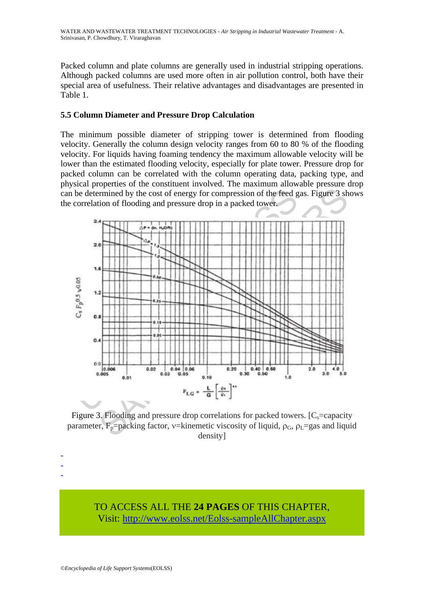Packed column and plate columns are generally used in industrial stripping operations. Although packed columns are used more often in air pollution control, both have their special area of usefulness. Their relative advantages and disadvantages are presented in Table 1.

# **5.5 Column Diameter and Pressure Drop Calculation**

The minimum possible diameter of stripping tower is determined from flooding velocity. Generally the column design velocity ranges from 60 to 80 % of the flooding velocity. For liquids having foaming tendency the maximum allowable velocity will be lower than the estimated flooding velocity, especially for plate tower. Pressure drop for packed column can be correlated with the column operating data, packing type, and physical properties of the constituent involved. The maximum allowable pressure drop can be determined by the cost of energy for compression of the feed gas. Figure 3 shows the correlation of flooding and pressure drop in a packed tower.



Figure 3. Flooding and pressure drop correlations for packed towers.  $[C_s = \text{capacity}]$ parameter,  $F_p$ =packing factor, v=kinemetic viscosity of liquid,  $\rho_G$ ,  $\rho_L$ =gas and liquid density]

TO ACCESS ALL THE **24 PAGES** OF THIS CHAPTER, Visit: [http://www.eolss.net/Eolss-sampleAllChapter.aspx](https://www.eolss.net/ebooklib/sc_cart.aspx?File=E6-144-03)

- - -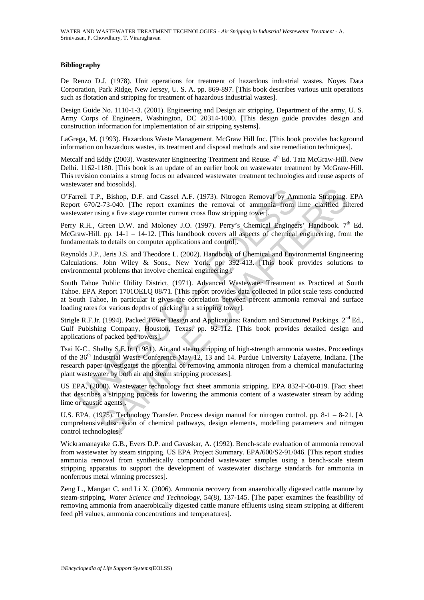#### **Bibliography**

De Renzo D.J. (1978). Unit operations for treatment of hazardous industrial wastes. Noyes Data Corporation, Park Ridge, New Jersey, U. S. A. pp. 869-897. [This book describes various unit operations such as flotation and stripping for treatment of hazardous industrial wastes].

Design Guide No. 1110-1-3. (2001). Engineering and Design air stripping. Department of the army, U. S. Army Corps of Engineers, Washington, DC 20314-1000. [This design guide provides design and construction information for implementation of air stripping systems].

LaGrega, M. (1993). Hazardous Waste Management. McGraw Hill Inc. [This book provides background information on hazardous wastes, its treatment and disposal methods and site remediation techniques].

Metcalf and Eddy (2003). Wastewater Engineering Treatment and Reuse. 4<sup>th</sup> Ed. Tata McGraw-Hill. New Delhi. 1162-1180. [This book is an update of an earlier book on wastewater treatment by McGraw-Hill. This revision contains a strong focus on advanced wastewater treatment technologies and reuse aspects of wastewater and biosolids].

O'Farrell T.P., Bishop, D.F. and Cassel A.F. (1973). Nitrogen Removal by Ammonia Stripping. EPA Report 670/2-73-040. [The report examines the removal of ammonia from lime clarified filtered wastewater using a five stage counter current cross flow stripping tower].

Perry R.H., Green D.W. and Moloney J.O. (1997). Perry's Chemical Engineers' Handbook.  $7<sup>th</sup>$  Ed. McGraw-Hill. pp. 14-1 – 14-12. [This handbook covers all aspects of chemical engineering, from the fundamentals to details on computer applications and control].

Reynolds J.P., Jeris J.S. and Theodore L. (2002). Handbook of Chemical and Environmental Engineering Calculations. John Wiley & Sons., New York. pp. 392-413. [This book provides solutions to environmental problems that involve chemical engineering].

South Tahoe Public Utility District, (1971). Advanced Wastewater Treatment as Practiced at South Tahoe. EPA Report 1701OELQ 08/71. [This report provides data collected in pilot scale tests conducted at South Tahoe, in particular it gives the correlation between percent ammonia removal and surface loading rates for various depths of packing in a stripping tower].

Strigle R.F.Jr. (1994). Packed Tower Design and Applications: Random and Structured Packings. 2<sup>nd</sup> Ed., Gulf Publshing Company, Houston, Texas. pp. 92-112. [This book provides detailed design and applications of packed bed towers].

urell T.P., Bishop, D.F. and Cassel A.F. (1973). Nitrogen Removal by Am<br>nt 670/2-73-040. [The report examines the removal of ammonia from i<br>ewater using a five stage counter current cross flow stripping tower].<br>
V.R.H., Gr 2, Bishop, D.F. and Cassel A.F. (1973). Nitrogen Removal by Ammonia Stripping.<br>2-73-040. [The report examines the removal of ammonia from lime clarified fil<br>sing a five stage counter current cross flow stripping tower].<br>G Tsai K-C., Shelby S.E.Jr. (1981). Air and steam stripping of high-strength ammonia wastes. Proceedings of the 36<sup>th</sup> Industrial Waste Conference May 12, 13 and 14. Purdue University Lafayette, Indiana. [The research paper investigates the potential of removing ammonia nitrogen from a chemical manufacturing plant wastewater by both air and steam stripping processes].

US EPA, (2000). Wastewater technology fact sheet ammonia stripping. EPA 832-F-00-019. [Fact sheet that describes a stripping process for lowering the ammonia content of a wastewater stream by adding lime or caustic agents].

U.S. EPA, (1975). Technology Transfer. Process design manual for nitrogen control. pp. 8-1 – 8-21. [A comprehensive discussion of chemical pathways, design elements, modelling parameters and nitrogen control technologies].

Wickramanayake G.B., Evers D.P. and Gavaskar, A. (1992). Bench-scale evaluation of ammonia removal from wastewater by steam stripping. US EPA Project Summary. EPA/600/S2-91/046. [This report studies ammonia removal from synthetically compounded wastewater samples using a bench-scale steam stripping apparatus to support the development of wastewater discharge standards for ammonia in nonferrous metal winning processes].

Zeng L., Mangan C. and Li X. (2006). Ammonia recovery from anaerobically digested cattle manure by steam-stripping. *Water Science and Technology*, 54(8), 137-145. [The paper examines the feasibility of removing ammonia from anaerobically digested cattle manure effluents using steam stripping at different feed pH values, ammonia concentrations and temperatures].